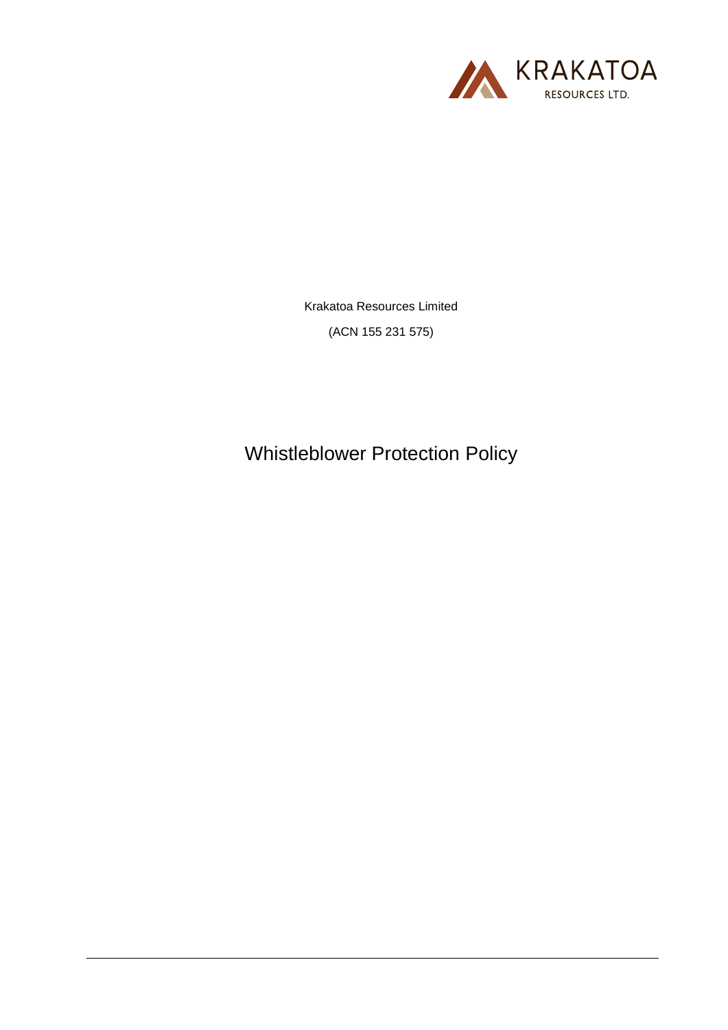

Krakatoa Resources Limited

(ACN 155 231 575)

Whistleblower Protection Policy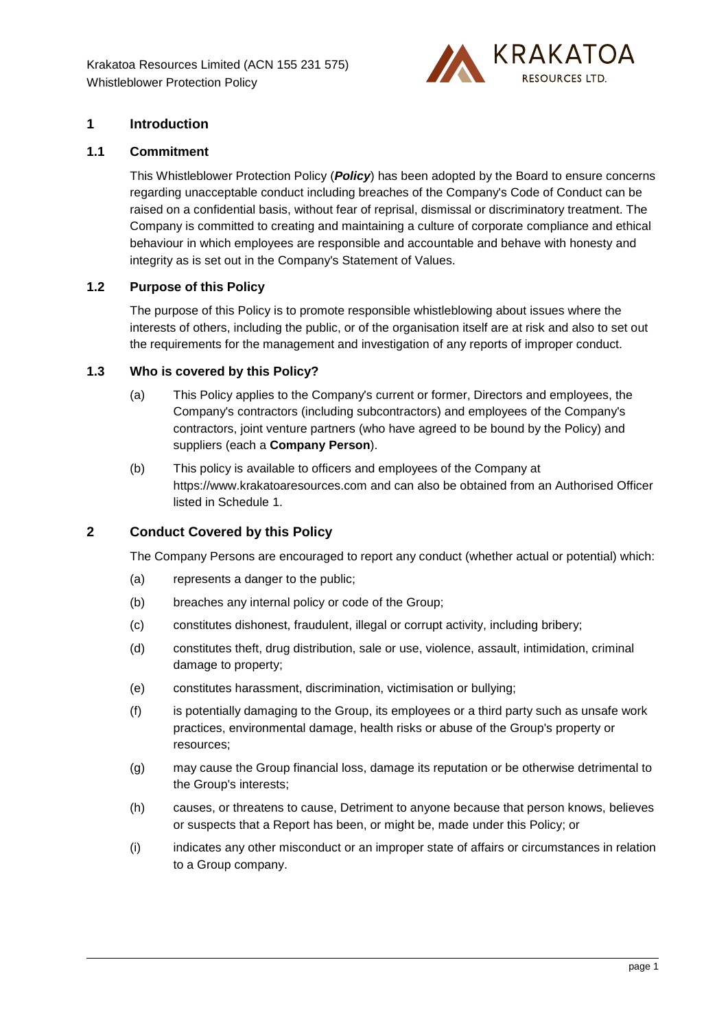

# **1 Introduction**

#### **1.1 Commitment**

This Whistleblower Protection Policy (*Policy*) has been adopted by the Board to ensure concerns regarding unacceptable conduct including breaches of the Company's Code of Conduct can be raised on a confidential basis, without fear of reprisal, dismissal or discriminatory treatment. The Company is committed to creating and maintaining a culture of corporate compliance and ethical behaviour in which employees are responsible and accountable and behave with honesty and integrity as is set out in the Company's Statement of Values.

# **1.2 Purpose of this Policy**

The purpose of this Policy is to promote responsible whistleblowing about issues where the interests of others, including the public, or of the organisation itself are at risk and also to set out the requirements for the management and investigation of any reports of improper conduct.

## **1.3 Who is covered by this Policy?**

- (a) This Policy applies to the Company's current or former, Directors and employees, the Company's contractors (including subcontractors) and employees of the Company's contractors, joint venture partners (who have agreed to be bound by the Policy) and suppliers (each a **Company Person**).
- (b) This policy is available to officers and employees of the Company at https://www.krakatoaresources.com and can also be obtained from an Authorised Officer listed in [Schedule](#page-6-0) 1.

# <span id="page-1-0"></span>**2 Conduct Covered by this Policy**

The Company Persons are encouraged to report any conduct (whether actual or potential) which:

- (a) represents a danger to the public;
- (b) breaches any internal policy or code of the Group;
- (c) constitutes dishonest, fraudulent, illegal or corrupt activity, including bribery;
- (d) constitutes theft, drug distribution, sale or use, violence, assault, intimidation, criminal damage to property;
- (e) constitutes harassment, discrimination, victimisation or bullying;
- (f) is potentially damaging to the Group, its employees or a third party such as unsafe work practices, environmental damage, health risks or abuse of the Group's property or resources;
- (g) may cause the Group financial loss, damage its reputation or be otherwise detrimental to the Group's interests;
- (h) causes, or threatens to cause, Detriment to anyone because that person knows, believes or suspects that a Report has been, or might be, made under this Policy; or
- (i) indicates any other misconduct or an improper state of affairs or circumstances in relation to a Group company.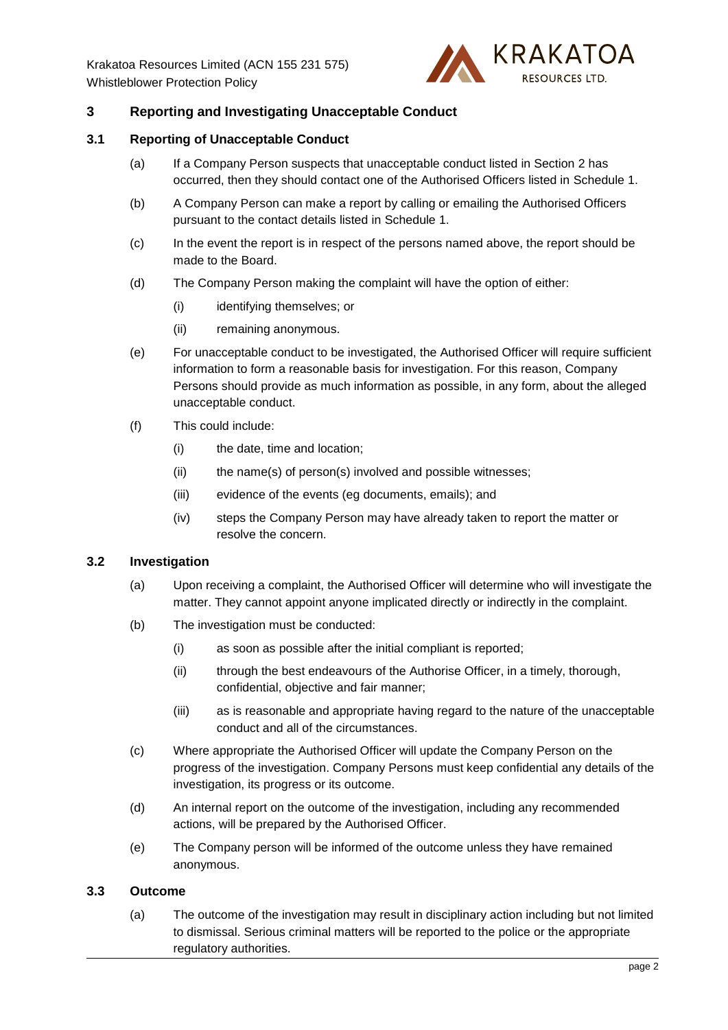

# **3 Reporting and Investigating Unacceptable Conduct**

#### **3.1 Reporting of Unacceptable Conduct**

- (a) If a Company Person suspects that unacceptable conduct listed in Section [2](#page-1-0) has occurred, then they should contact one of the Authorised Officers listed in [Schedule](#page-6-0) 1.
- (b) A Company Person can make a report by calling or emailing the Authorised Officers pursuant to the contact details listed in [Schedule](#page-6-0) 1.
- (c) In the event the report is in respect of the persons named above, the report should be made to the Board.
- (d) The Company Person making the complaint will have the option of either:
	- (i) identifying themselves; or
	- (ii) remaining anonymous.
- (e) For unacceptable conduct to be investigated, the Authorised Officer will require sufficient information to form a reasonable basis for investigation. For this reason, Company Persons should provide as much information as possible, in any form, about the alleged unacceptable conduct.
- (f) This could include:
	- (i) the date, time and location;
	- (ii) the name(s) of person(s) involved and possible witnesses;
	- (iii) evidence of the events (eg documents, emails); and
	- (iv) steps the Company Person may have already taken to report the matter or resolve the concern.

#### **3.2 Investigation**

- (a) Upon receiving a complaint, the Authorised Officer will determine who will investigate the matter. They cannot appoint anyone implicated directly or indirectly in the complaint.
- (b) The investigation must be conducted:
	- (i) as soon as possible after the initial compliant is reported;
	- (ii) through the best endeavours of the Authorise Officer, in a timely, thorough, confidential, objective and fair manner;
	- (iii) as is reasonable and appropriate having regard to the nature of the unacceptable conduct and all of the circumstances.
- (c) Where appropriate the Authorised Officer will update the Company Person on the progress of the investigation. Company Persons must keep confidential any details of the investigation, its progress or its outcome.
- (d) An internal report on the outcome of the investigation, including any recommended actions, will be prepared by the Authorised Officer.
- (e) The Company person will be informed of the outcome unless they have remained anonymous.

#### **3.3 Outcome**

(a) The outcome of the investigation may result in disciplinary action including but not limited to dismissal. Serious criminal matters will be reported to the police or the appropriate regulatory authorities.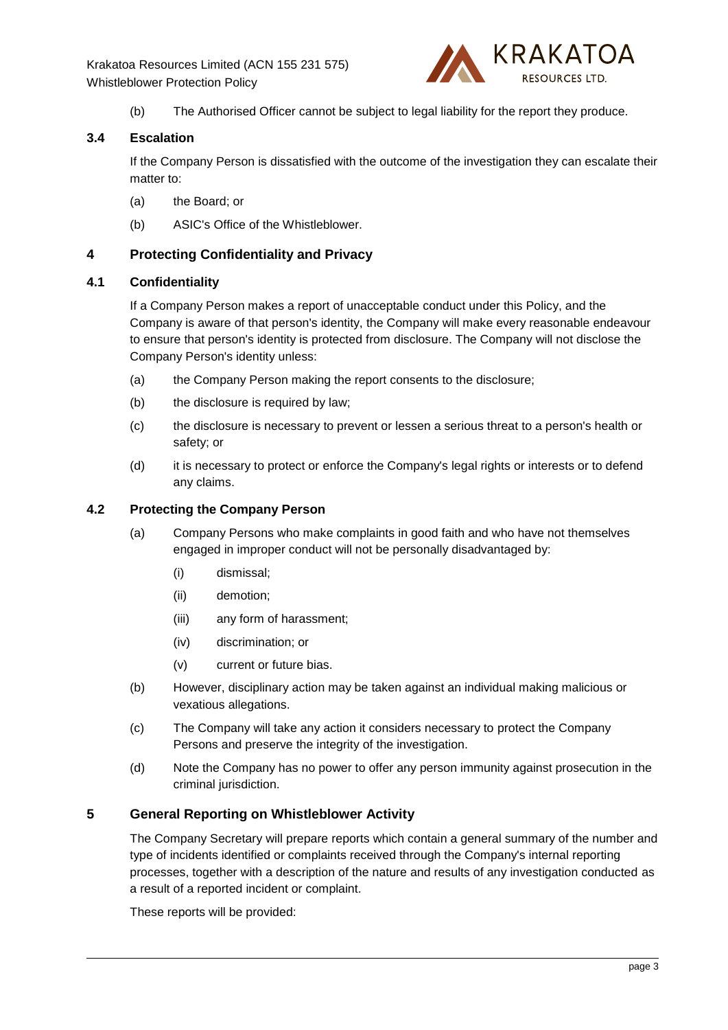

(b) The Authorised Officer cannot be subject to legal liability for the report they produce.

# **3.4 Escalation**

If the Company Person is dissatisfied with the outcome of the investigation they can escalate their matter to:

- (a) the Board; or
- (b) ASIC's Office of the Whistleblower.

# **4 Protecting Confidentiality and Privacy**

## **4.1 Confidentiality**

If a Company Person makes a report of unacceptable conduct under this Policy, and the Company is aware of that person's identity, the Company will make every reasonable endeavour to ensure that person's identity is protected from disclosure. The Company will not disclose the Company Person's identity unless:

- (a) the Company Person making the report consents to the disclosure;
- (b) the disclosure is required by law;
- (c) the disclosure is necessary to prevent or lessen a serious threat to a person's health or safety; or
- (d) it is necessary to protect or enforce the Company's legal rights or interests or to defend any claims.

#### **4.2 Protecting the Company Person**

- (a) Company Persons who make complaints in good faith and who have not themselves engaged in improper conduct will not be personally disadvantaged by:
	- (i) dismissal;
	- (ii) demotion;
	- (iii) any form of harassment;
	- (iv) discrimination; or
	- (v) current or future bias.
- (b) However, disciplinary action may be taken against an individual making malicious or vexatious allegations.
- (c) The Company will take any action it considers necessary to protect the Company Persons and preserve the integrity of the investigation.
- (d) Note the Company has no power to offer any person immunity against prosecution in the criminal jurisdiction.

# **5 General Reporting on Whistleblower Activity**

The Company Secretary will prepare reports which contain a general summary of the number and type of incidents identified or complaints received through the Company's internal reporting processes, together with a description of the nature and results of any investigation conducted as a result of a reported incident or complaint.

These reports will be provided: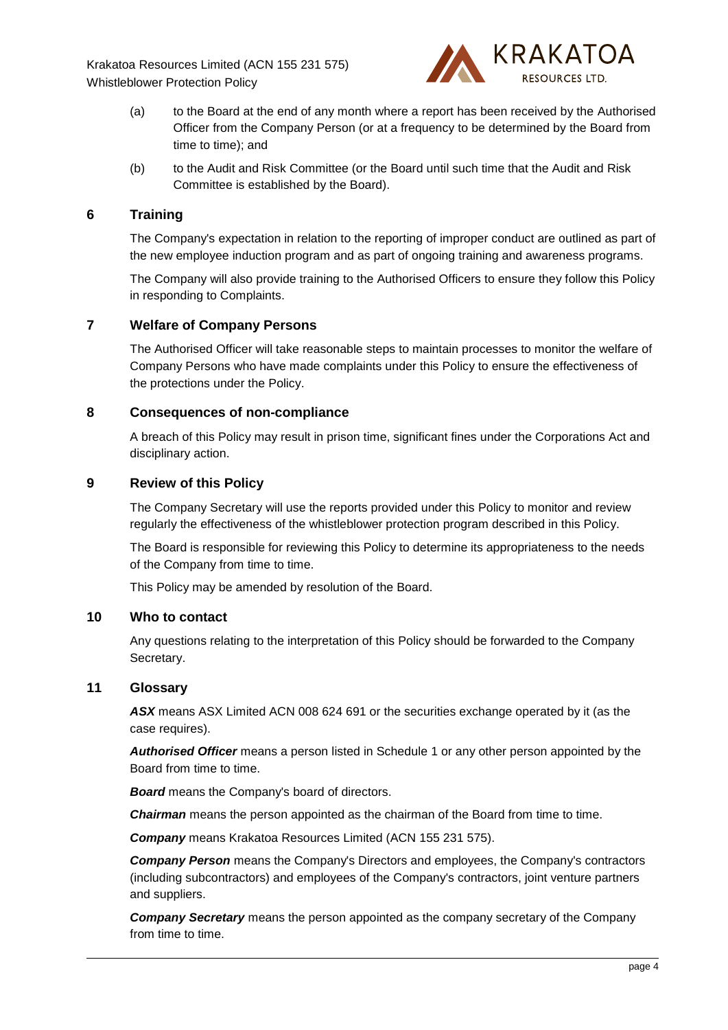

- (a) to the Board at the end of any month where a report has been received by the Authorised Officer from the Company Person (or at a frequency to be determined by the Board from time to time); and
- (b) to the Audit and Risk Committee (or the Board until such time that the Audit and Risk Committee is established by the Board).

## **6 Training**

The Company's expectation in relation to the reporting of improper conduct are outlined as part of the new employee induction program and as part of ongoing training and awareness programs.

The Company will also provide training to the Authorised Officers to ensure they follow this Policy in responding to Complaints.

## **7 Welfare of Company Persons**

The Authorised Officer will take reasonable steps to maintain processes to monitor the welfare of Company Persons who have made complaints under this Policy to ensure the effectiveness of the protections under the Policy.

#### **8 Consequences of non-compliance**

A breach of this Policy may result in prison time, significant fines under the Corporations Act and disciplinary action.

## **9 Review of this Policy**

The Company Secretary will use the reports provided under this Policy to monitor and review regularly the effectiveness of the whistleblower protection program described in this Policy.

The Board is responsible for reviewing this Policy to determine its appropriateness to the needs of the Company from time to time.

This Policy may be amended by resolution of the Board.

## **10 Who to contact**

Any questions relating to the interpretation of this Policy should be forwarded to the Company Secretary.

#### **11 Glossary**

*ASX* means ASX Limited ACN 008 624 691 or the securities exchange operated by it (as the case requires).

*Authorised Officer* means a person listed in [Schedule](#page-6-0) 1 or any other person appointed by the Board from time to time.

*Board* means the Company's board of directors.

**Chairman** means the person appointed as the chairman of the Board from time to time.

*Company* means Krakatoa Resources Limited (ACN 155 231 575).

*Company Person* means the Company's Directors and employees, the Company's contractors (including subcontractors) and employees of the Company's contractors, joint venture partners and suppliers.

*Company Secretary* means the person appointed as the company secretary of the Company from time to time.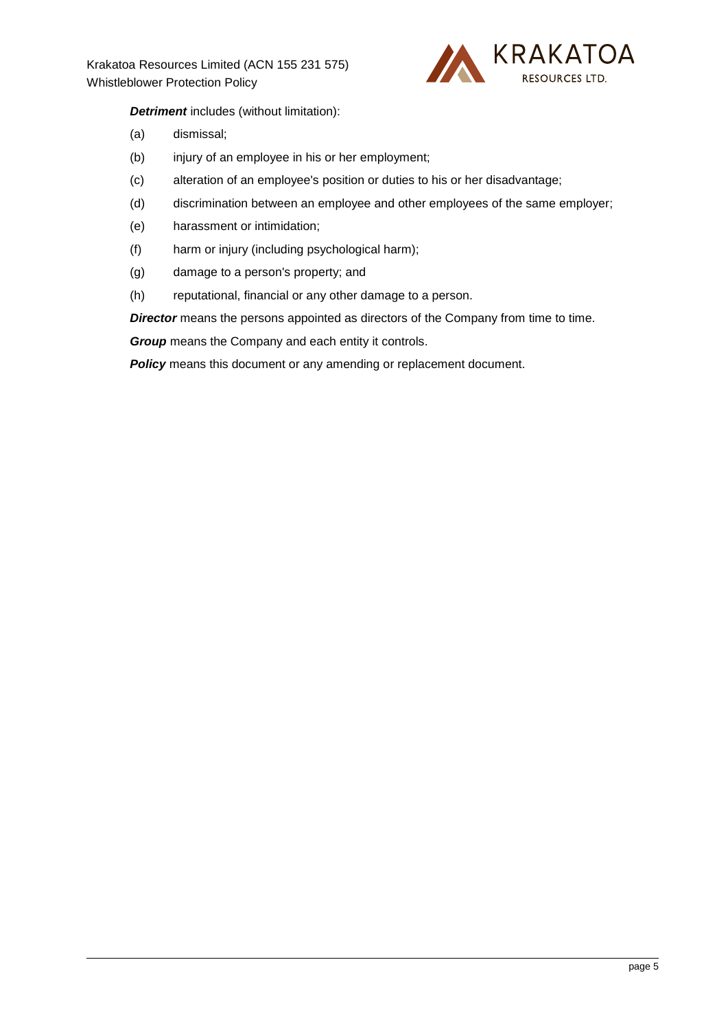

## *Detriment* includes (without limitation):

- (a) dismissal;
- (b) injury of an employee in his or her employment;
- (c) alteration of an employee's position or duties to his or her disadvantage;
- (d) discrimination between an employee and other employees of the same employer;
- (e) harassment or intimidation;
- (f) harm or injury (including psychological harm);
- (g) damage to a person's property; and
- (h) reputational, financial or any other damage to a person.

*Director* means the persons appointed as directors of the Company from time to time.

*Group* means the Company and each entity it controls.

**Policy** means this document or any amending or replacement document.